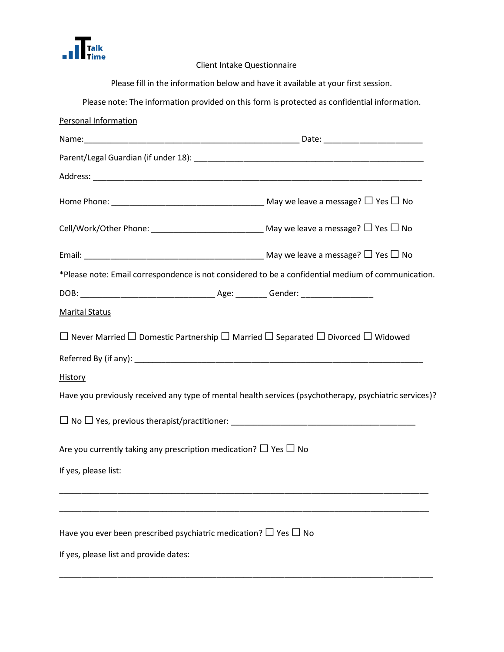

Client Intake Questionnaire

Please fill in the information below and have it available at your first session. Please note: The information provided on this form is protected as confidential information. Personal Information Name:\_\_\_\_\_\_\_\_\_\_\_\_\_\_\_\_\_\_\_\_\_\_\_\_\_\_\_\_\_\_\_\_\_\_\_\_\_\_\_\_\_\_\_\_\_\_\_\_ Date: \_\_\_\_\_\_\_\_\_\_\_\_\_\_\_\_\_\_\_\_\_\_ Parent/Legal Guardian (if under 18): example and the contract of the contract of the contract of the contract of Address: \_\_\_\_\_\_\_\_\_\_\_\_\_\_\_\_\_\_\_\_\_\_\_\_\_\_\_\_\_\_\_\_\_\_\_\_\_\_\_\_\_\_\_\_\_\_\_\_\_\_\_\_\_\_\_\_\_\_\_\_\_\_\_\_\_\_\_\_\_\_\_\_\_ Home Phone: \_\_\_\_\_\_\_\_\_\_\_\_\_\_\_\_\_\_\_\_\_\_\_\_\_\_\_\_\_\_\_\_\_\_ May we leave a message? □Yes □ No Cell/Work/Other Phone: \_\_\_\_\_\_\_\_\_\_\_\_\_\_\_\_\_\_\_\_\_\_\_\_\_\_\_\_\_\_\_\_ May we leave a message?  $\Box$  Yes  $\Box$  No Email: \_\_\_\_\_\_\_\_\_\_\_\_\_\_\_\_\_\_\_\_\_\_\_\_\_\_\_\_\_\_\_\_\_\_\_\_\_\_\_\_ May we leave a message? □Yes □ No \*Please note: Email correspondence is not considered to be a confidential medium of communication. DOB: \_\_\_\_\_\_\_\_\_\_\_\_\_\_\_\_\_\_\_\_\_\_\_\_\_\_\_\_\_\_ Age: \_\_\_\_\_\_\_ Gender: \_\_\_\_\_\_\_\_\_\_\_\_\_\_\_\_ Marital Status  $□$  Never Married  $□$  Domestic Partnership  $□$  Married  $□$  Separated  $□$  Divorced  $□$  Widowed  $Referred$  By (if any):  $\blacksquare$ History Have you previously received any type of mental health services (psychotherapy, psychiatric services)? □ No □Yes, previous therapist/practitioner: \_\_\_\_\_\_\_\_\_\_\_\_\_\_\_\_\_\_\_\_\_\_\_\_\_\_\_\_\_\_\_\_\_\_\_\_\_\_\_\_\_ Are you currently taking any prescription medication?  $\square$  Yes  $\square$  No If yes, please list: \_\_\_\_\_\_\_\_\_\_\_\_\_\_\_\_\_\_\_\_\_\_\_\_\_\_\_\_\_\_\_\_\_\_\_\_\_\_\_\_\_\_\_\_\_\_\_\_\_\_\_\_\_\_\_\_\_\_\_\_\_\_\_\_\_\_\_\_\_\_\_\_\_\_\_\_\_\_\_\_\_\_ \_\_\_\_\_\_\_\_\_\_\_\_\_\_\_\_\_\_\_\_\_\_\_\_\_\_\_\_\_\_\_\_\_\_\_\_\_\_\_\_\_\_\_\_\_\_\_\_\_\_\_\_\_\_\_\_\_\_\_\_\_\_\_\_\_\_\_\_\_\_\_\_\_\_\_\_\_\_\_\_\_\_ Have you ever been prescribed psychiatric medication?  $\Box$  Yes  $\Box$  No If yes, please list and provide dates:

\_\_\_\_\_\_\_\_\_\_\_\_\_\_\_\_\_\_\_\_\_\_\_\_\_\_\_\_\_\_\_\_\_\_\_\_\_\_\_\_\_\_\_\_\_\_\_\_\_\_\_\_\_\_\_\_\_\_\_\_\_\_\_\_\_\_\_\_\_\_\_\_\_\_\_\_\_\_\_\_\_\_\_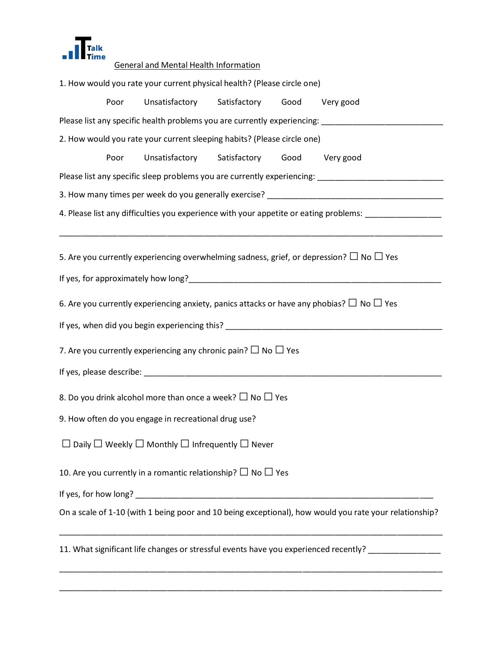

## General and Mental Health Information

| 1. How would you rate your current physical health? (Please circle one)                              |      |                                                                        |  |  |                                                                                                               |  |  |  |  |  |  |  |
|------------------------------------------------------------------------------------------------------|------|------------------------------------------------------------------------|--|--|---------------------------------------------------------------------------------------------------------------|--|--|--|--|--|--|--|
|                                                                                                      | Poor | Unsatisfactory Satisfactory                                            |  |  | Good Very good                                                                                                |  |  |  |  |  |  |  |
| Please list any specific health problems you are currently experiencing:                             |      |                                                                        |  |  |                                                                                                               |  |  |  |  |  |  |  |
| 2. How would you rate your current sleeping habits? (Please circle one)                              |      |                                                                        |  |  |                                                                                                               |  |  |  |  |  |  |  |
|                                                                                                      | Poor | Unsatisfactory Satisfactory                                            |  |  | Good Very good                                                                                                |  |  |  |  |  |  |  |
|                                                                                                      |      |                                                                        |  |  | Please list any specific sleep problems you are currently experiencing: ___________________________           |  |  |  |  |  |  |  |
|                                                                                                      |      |                                                                        |  |  |                                                                                                               |  |  |  |  |  |  |  |
| 4. Please list any difficulties you experience with your appetite or eating problems: ______________ |      |                                                                        |  |  |                                                                                                               |  |  |  |  |  |  |  |
|                                                                                                      |      |                                                                        |  |  |                                                                                                               |  |  |  |  |  |  |  |
|                                                                                                      |      |                                                                        |  |  | 5. Are you currently experiencing overwhelming sadness, grief, or depression? $\Box$ No $\Box$ Yes            |  |  |  |  |  |  |  |
|                                                                                                      |      |                                                                        |  |  |                                                                                                               |  |  |  |  |  |  |  |
|                                                                                                      |      |                                                                        |  |  | 6. Are you currently experiencing anxiety, panics attacks or have any phobias? $\Box$ No $\Box$ Yes           |  |  |  |  |  |  |  |
|                                                                                                      |      |                                                                        |  |  |                                                                                                               |  |  |  |  |  |  |  |
|                                                                                                      |      |                                                                        |  |  | If yes, when did you begin experiencing this? The contract of the contract of the contract of the contract of |  |  |  |  |  |  |  |
| 7. Are you currently experiencing any chronic pain? $\Box$ No $\Box$ Yes                             |      |                                                                        |  |  |                                                                                                               |  |  |  |  |  |  |  |
|                                                                                                      |      |                                                                        |  |  |                                                                                                               |  |  |  |  |  |  |  |
| 8. Do you drink alcohol more than once a week? $\Box$ No $\Box$ Yes                                  |      |                                                                        |  |  |                                                                                                               |  |  |  |  |  |  |  |
| 9. How often do you engage in recreational drug use?                                                 |      |                                                                        |  |  |                                                                                                               |  |  |  |  |  |  |  |
| Daily $\Box$ Weekly $\Box$ Monthly $\Box$ Infrequently $\Box$ Never                                  |      |                                                                        |  |  |                                                                                                               |  |  |  |  |  |  |  |
|                                                                                                      |      | 10. Are you currently in a romantic relationship? $\Box$ No $\Box$ Yes |  |  |                                                                                                               |  |  |  |  |  |  |  |
|                                                                                                      |      |                                                                        |  |  |                                                                                                               |  |  |  |  |  |  |  |
|                                                                                                      |      |                                                                        |  |  | On a scale of 1-10 (with 1 being poor and 10 being exceptional), how would you rate your relationship?        |  |  |  |  |  |  |  |
| 11. What significant life changes or stressful events have you experienced recently?                 |      |                                                                        |  |  |                                                                                                               |  |  |  |  |  |  |  |

\_\_\_\_\_\_\_\_\_\_\_\_\_\_\_\_\_\_\_\_\_\_\_\_\_\_\_\_\_\_\_\_\_\_\_\_\_\_\_\_\_\_\_\_\_\_\_\_\_\_\_\_\_\_\_\_\_\_\_\_\_\_\_\_\_\_\_\_\_\_\_\_\_\_\_\_\_\_\_\_\_\_\_\_\_